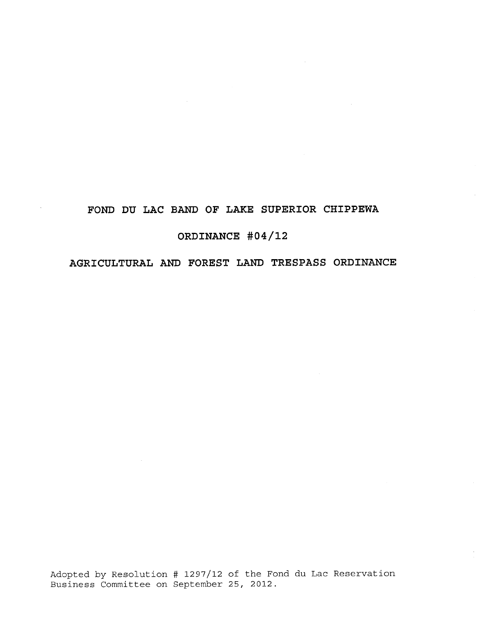# **FOND DU LAC BAND OF LAKE SUPERIOR CHIPPEWA**

 $\sim$ 

 $\sim$ 

# **ORDINANCE #04/12**

# **AGRICULTURAL AND FOREST LAND TRESPASS ORDINANCE**

Adopted by Resolution # 1297/12 of the Fond du Lac Reservation Business Committee on September 25, 2012.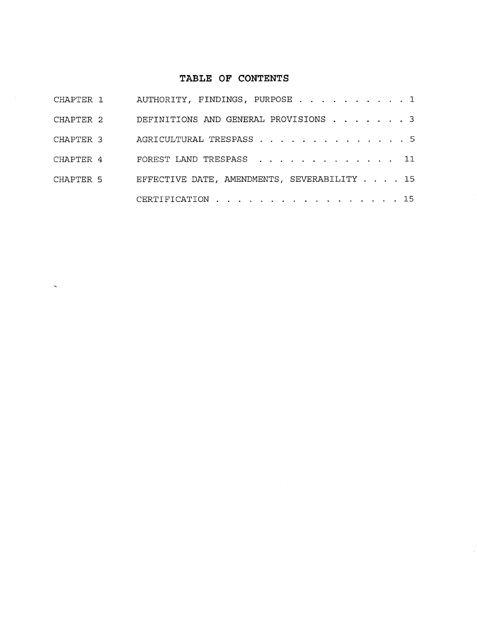# **TABLE OF CONTENTS**

| CHAPTER 1 | AUTHORITY, FINDINGS, PURPOSE 1              |
|-----------|---------------------------------------------|
| CHAPTER 2 | DEFINITIONS AND GENERAL PROVISIONS 3        |
| CHAPTER 3 | AGRICULTURAL TRESPASS 5                     |
| CHAPTER 4 | FOREST LAND TRESPASS 11                     |
| CHAPTER 5 | EFFECTIVE DATE, AMENDMENTS, SEVERABILITY 15 |
|           | CERTIFICATION 15                            |

 $\bar{\mathbf{v}}$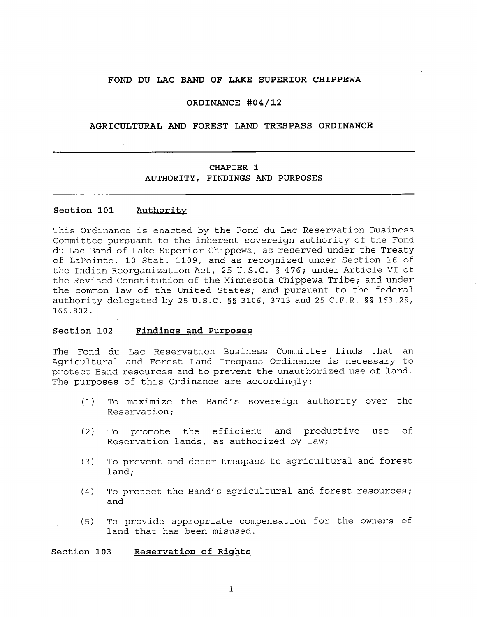#### **FOND DU LAC BAND OF LAKE SUPERIOR CHIPPEWA**

#### **ORDINANCE #04/12**

#### **AGRICULTURAL AND FOREST LAND TRESPASS ORDINANCE**

# **CHAPTER** 1 AUTHORITY, FINDINGS AND PURPOSES

#### **Section 101 Authority**

This Ordinance is enacted by the Fond du Lac Reservation Business Committee pursuant to the inherent sovereign authority of the Fond du Lac Band of Lake Superior Chippewa, as reserved under the Treaty of LaPointe, 10 Stat. 1109, and as recognized under Section 16 of the Indian Reorganization Act, 25 U.S.C. § 476; under Article VI of the Revised Constitution of the Minnesota Chippewa Tribe; and under the common law of the United States; and pursuant to the federal authority delegated by 25 U.S.C. §§ 3106, 3713 and 25 C.F.R. §§ 163.29, 166.802.

#### **Section 102 Findings and Purposes**

The Fond du Lac Reservation Business Committee finds that an Agricultural and Forest Land Trespass Ordinance is necessary to protect Band resources and to prevent the unauthorized use of land. The purposes of this Ordinance are accordingly:

- (1) To maximize the Band's sovereign authority over the Reservation;
- (2) To promote the efficient and productive use of Reservation lands, as authorized by law;
- (3) To prevent and deter trespass to agricultural and forest land;
- (4) To protect the Band's agricultural and forest resources; and
- (5) To provide appropriate compensation for the owners of land that has been misused.

**Section 103 Reservation of Rights**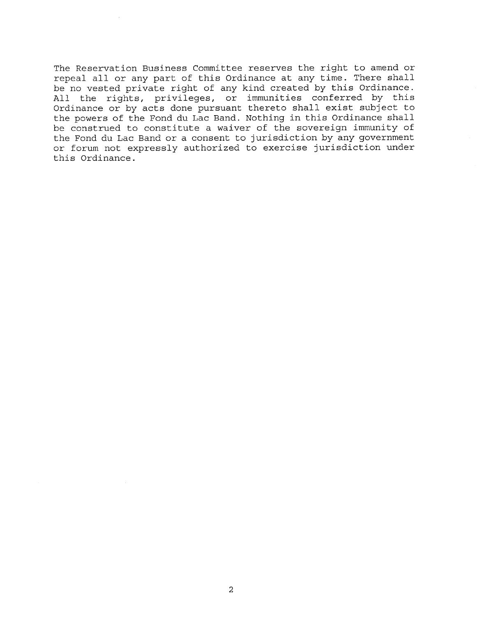The Reservation Business Committee reserves the right to amend or repeal all or any part of this Ordinance at any time. There shall be no vested private right of any kind created by this Ordinance. All the rights, privileges, or immunities conferred by this Ordinance or by acts done pursuant thereto shall exist subject to the powers of the Fond du Lac Band. Nothing in this Ordinance shall be construed to constitute a waiver of the sovereign immunity of the Fond du Lac Band or a consent to jurisdiction by any government or forum not expressly authorized to exercise jurisdiction under this Ordinance.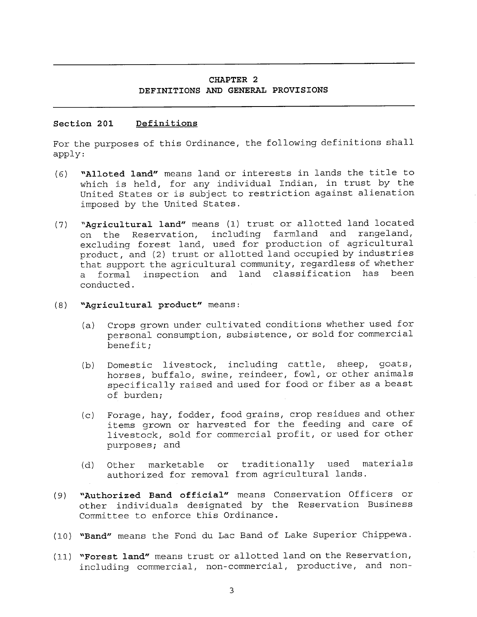# **CHAPTER 2 DEFINITIONS AND GENERAL PROVISIONS**

#### **Section 201 Definitions**

For the purposes of this Ordinance, the following definitions shall apply:

- (6) **"Alloted land"** means land or interests in lands the title to which is held, for any individual Indian, in trust by the United States or is subject to restriction against alienation imposed by the United States.
- (7) **"Agricultural land"** means (1) trust or allotted land located on the Reservation, including farmland and rangeland, excluding forest land, used for production of agricultural product, and (2) trust or allotted land occupied by industries that support the agricultural community, regardless of whether a formal inspection and land classification has been conducted.
- **(8) "Agricultural product"** means:
	- (a) Crops grown under cultivated conditions whether used for personal consumption, subsistence, or sold for commercial benefit;
	- (b) Domestic livestock, including cattle, sheep, goats, horses, buffalo, swine, reindeer, fowl, or other animals specifically raised and used for food or fiber as a beast of burden;
	- (c) Forage, hay, fodder, food grains, crop residues and other items grown or harvested for the feeding and care of livestock, sold for commercial profit, or used for other purposes; and
	- (d) Other marketable or traditionally used materials authorized for removal from agricultural lands.
- (9) **"Authorized Band official"** means Conservation Officers or other individuals designated by the Reservation Business Committee to enforce this Ordinance.
- (10) **"Band"** means the Fond du Lac Band of Lake Superior Chippewa.
- (11) **"Forest land"** means trust or allotted land on the Reservation, including commercial, non-commercial, productive, and non-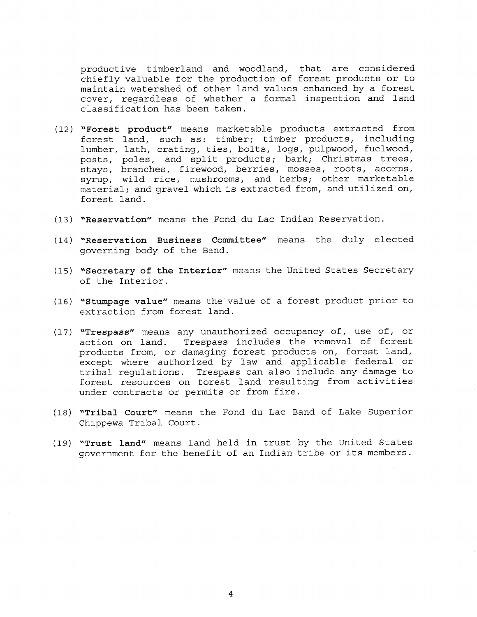productive timberland and woodland, that are considered chiefly valuable for the production of forest products or to maintain watershed of other land values enhanced by a forest cover, regardless of whether a formal inspection and land classification has been taken.

- (12) "Forest product" means marketable products extracted from forest land, such as: timber; timber products, including lumber, lath, crating, ties, bolts, logs, pulpwood, fuelwood, posts, poles, and split products; bark; Christmas trees, stays, branches, firewood, berries, mosses, roots, acorns, syrup, wild rice, mushrooms, and herbs; other marketable material; and gravel which is extracted from, and utilized on, forest land.
- (13) "Reservation" means the Fond du Lac Indian Reservation.
- (14) "Reservation Business Committee" means the duly elected governing body of the Band.
- (15) "Secretary of the Interior" means the United States Secretary of the Interior.
- (16) "Stumpage value" means the value of a forest product prior to extraction from forest land.
- (17) **"Trespass"** means any unauthorized occupancy of, use of, or action on land. Trespass includes the removal of forest Trespass includes the removal of forest products from, or damaging forest products on, forest land, except where authorized by law and applicable federal or tribal regulations. Trespass can also include any damage to forest resources on forest land resulting from activities under contracts or permits or from fire.
- (18) "Tribal Court" means the Fond du Lac Band of Lake Superior Chippewa Tribal Court.
- (19) "Trust land" means land held in trust by the United States government for the benefit of an Indian tribe or its members.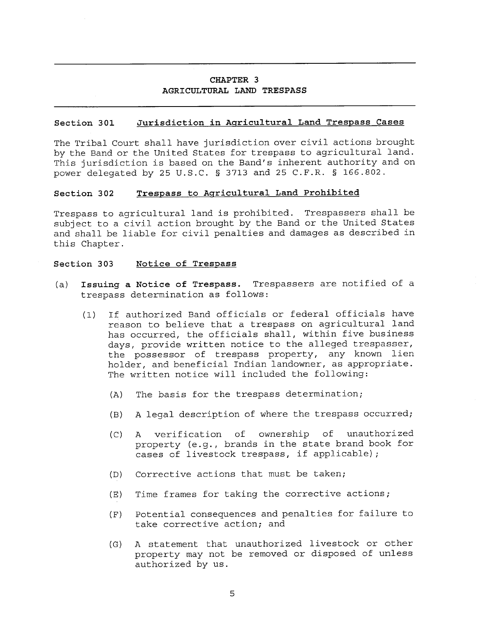## **CHAPTER 3 AGRICULTURAL LAND TRESPASS**

#### **Section 301 Jurisdiction in Agricultural Land Trespass Cases**

The Tribal Court shall have jurisdiction over civil actions brought by the Band or the United States for trespass to agricultural land. This jurisdiction is based on the Band's inherent authority and on power delegated by 25 U.S.C. § 3713 and 25 C.F.R. § 166.802.

#### **Section 302 Trespass to Agricultural Land Prohibited**

Trespass to agricultural land is prohibited. Trespassers shall be subject to a civil action brought by the Band or the United States and shall be liable for civil penalties and damages as described in this Chapter.

#### **Section 303 Notice of Trespass**

- (a) **Issuing a Notice of Trespass.** Trespassers are notified of a trespass determination as follows:
	- (1) If authorized Band officials or federal officials have reason to believe that a trespass on agricultural land has occurred, the officials shall, within five business days, provide written notice to the alleged trespasser, the possessor of trespass property, any known lien holder, and beneficial Indian landowner, as appropriate. The written notice will included the following:
		- (A) The basis for the trespass determination;
		- (B) A legal description of where the trespass occurred;
		- (C) A verification of ownership of unauthorized property (e.g., brands in the state brand book for cases of livestock trespass, if applicable);
		- (D) Corrective actions that must be taken;
		- (E) Time frames for taking the corrective actions;
		- (F) Potential consequences and penalties for failure to take corrective action; and
		- (G) A statement that unauthorized livestock or other property may not be removed or disposed of unless authorized by us.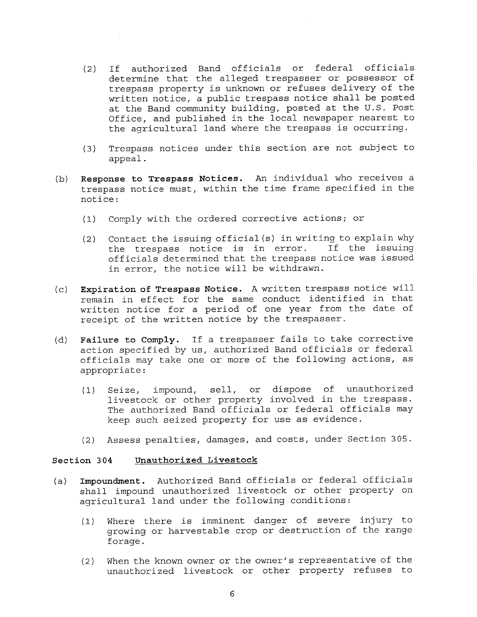- (2) If authorized Band officials or federal officials determine that the alleged trespasser or possessor of trespass property is unknown or refuses delivery of the written notice, a public trespass notice shall be posted at the Band community building, posted at the U.S. Post Office, and published in the local newspaper nearest to the agricultural land where the trespass is occurring.
- (3) Trespass notices under this section are not subject to appeal.
- (b) **Response to Trespass Notices.** An individual who receives a trespass notice must, within the time frame specified in the notice:
	- (1) Comply with the ordered corrective actions; or
	- (2) Contact the issuing official(s) in writing to explain why<br>the trespass notice is in error. If the issuing the trespass notice is in error. officials determined that the trespass notice was issued in error, the notice will be withdrawn.
- **(c) Expiration of Trespass Notice.** A written trespass notice will remain in effect for the same conduct identified in that written notice for a period of one year from the date of receipt of the written notice by the trespasser.
- (d) **Failure to Comply.** If a trespasser fails to take corrective action specified by us, authorized Band officials or federal officials may take one or more of the following actions, as appropriate:
	- (1) Seize, impound, sell, or dispose of unauthorized livestock or other property involved in the trespass. The authorized Band officials or federal officials may keep such seized property for use as evidence.
	- (2) Assess penalties, damages, and costs, under Section 305.

#### **Section 304 Unauthorized Livestock**

- (a) **Impoundment.** Authorized Band officials or federal officials shall impound unauthorized livestock or other property on agricultural land under the following conditions:
	- (1) Where there is imminent danger of severe injury to growing or harvestable crop or destruction of the range forage.
	- (2) When the known owner or the owner's representative of the unauthorized livestock or other property refuses to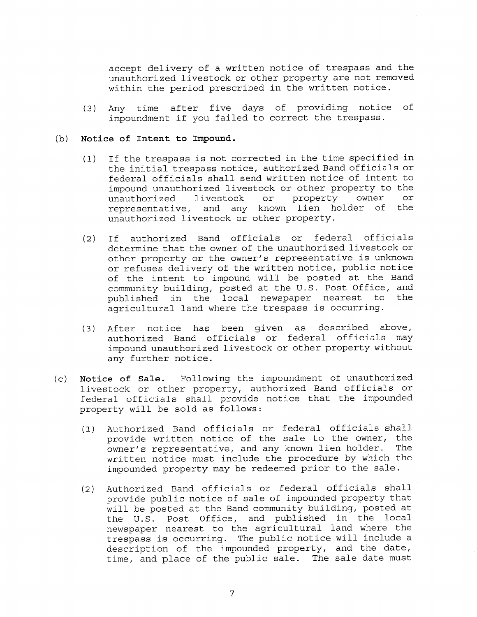accept delivery of a written notice of trespass and the unauthorized livestock or other property are not removed within the period prescribed in the written notice.

(3) Any time after five days of providing notice of impoundment **if** you failed to correct the trespass.

#### (b) **Notice of Intent to Impound.**

- (1) If the trespass is not corrected **in** the time specified in the initial trespass notice, authorized Band officials or federal officials shall send written notice of intent to impound unauthorized livestock or other property to the<br>unauthorized livestock or property owner or unauthorized livestock or property owner or<br>representative and any known lien holder of the representative, and any known lien holder of unauthorized livestock or other property.
- (2) If authorized Band officials or federal officials determine that the owner of the unauthorized livestock or other property or the owner's representative is unknown or refuses delivery of the written notice, public notice of the intent to impound will be posted at the Band community building, posted at the U.S. Post Office, and<br>published in the local newspaper nearest to the published in the local newspaper nearest to agricultural land where the trespass is occurring.
- (3) After notice has been given as described above, authorized Band officials **or** federal officials may impound unauthorized livestock or other property without any further notice.
- (c) **Notice of Sale.** Following the impoundment of unauthorized livestock or other property, authorized Band officials or federal officials shall provide notice that the impounded property will be sold as follows:
	- (1) Authorized Band officials or federal officials shall provide written notice of the sale to the owner, the owner's representative, and any known lien holder. The written notice must include the procedure by which the impounded property may be redeemed prior to the sale.
	- (2) Authorized Band officials or federal officials shall provide public notice of sale of impounded property that will be posted at the Band community building, posted at the U.S. Post Office, and published in the local newspaper nearest to the agricultural land where the trespass is occurring. The public notice will include a description of the impounded property, and the date, time, and place of the public sale. The sale date must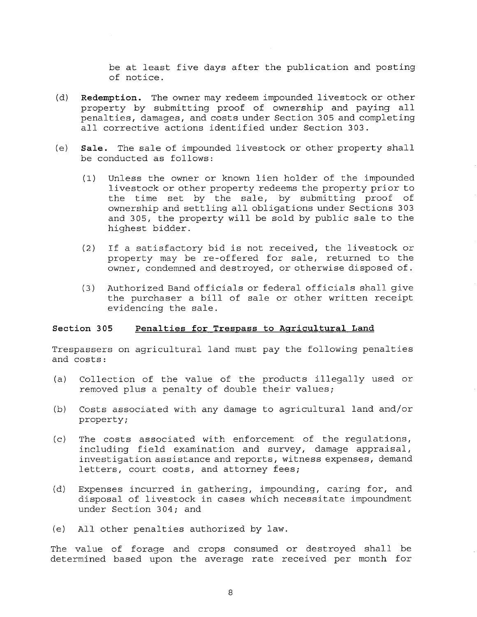be at least five days after the publication and posting of notice.

- **(d) Redemption.** The owner may redeem impounded livestock or other property by submitting proof of ownership and paying all penalties, damages, and costs under Section 305 and completing all corrective actions identified under Section 303.
- **(e) Sale.** The sale of impounded livestock or other property shall be conducted as follows:
	- (1) Unless the owner or known lien holder of the impounded livestock or other property redeems the property prior to the time set by the sale, by submitting proof of ownership and settling all obligations under Sections 303 and 305, the property will be sold by public sale to the highest bidder.
	- (2) If a satisfactory bid is not received, the livestock or property may be re-offered for sale, returned to the owner, condemned and destroyed, or otherwise disposed of.
	- (3) Authorized Band officials or federal officials shall give the purchaser a bill of sale or other written receipt evidencing the sale.

#### **Section 305 Penalties for Trespass to Agricultural Land**

Trespassers on agricultural land must pay the following penalties and costs:

- (a) Collection of the value of the products illegally used or removed plus a penalty of double their values;
- (b) Costs associated with any damage to agricultural land and/or property;
- (c) The costs associated with enforcement of the regulations, including field examination and survey, damage appraisal, investigation assistance and reports, witness expenses, demand letters, court costs, and attorney fees;
- (d) Expenses incurred in gathering, impounding, caring for, and disposal of livestock in cases which necessitate impoundment under Section 304; and
- (e) All other penalties authorized by law.

The value of forage and crops consumed or destroyed shall be determined based upon the average rate received per month for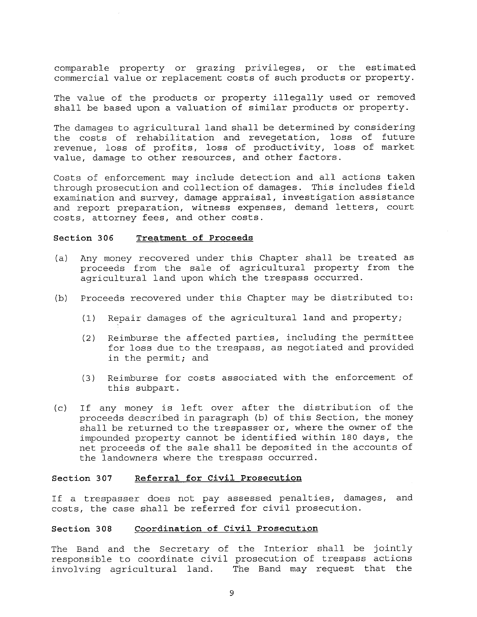comparable property or grazing privileges, or the estimated commercial value or replacement costs of such products or property.

The value of the products or property illegally used or removed shall be based upon a valuation of similar products or property.

The damages to agricultural land shall be determined by considering the costs of rehabilitation and revegetation, loss of future revenue, loss of profits, loss of productivity, loss of market value, damage to other resources, and other factors.

Costs of enforcement may include detection and all actions taken through prosecution and collection of damages. This includes field examination and survey, damage appraisal, investigation assistance and report preparation, witness expenses, demand letters, court costs, attorney fees, and other costs.

#### **Section 306 Treatment of Proceeds**

- (a) Any money recovered under this Chapter shall be treated as proceeds from the sale of agricultural property from the agricultural land upon which the trespass occurred.
- (b) Proceeds recovered under this Chapter may be distributed to:
	- (1) Repair damages of the agricultural land and property;
	- (2) Reimburse the affected parties, including the permittee for loss due to the trespass, as negotiated and provided in the permit; and
	- (3) Reimburse for costs associated with the enforcement of this subpart.
- (c) If any money is left over after the distribution of the proceeds described in paragraph (b) of this Section, the money shall be returned to the trespasser or, where the owner of the impounded property cannot be identified within 180 days, the net proceeds of the sale shall be deposited in the accounts of the landowners where the trespass occurred.

#### **Section 307 Referral for Civil Prosecution**

If a trespasser does not pay assessed penalties, damages, and costs, the case shall be referred for civil prosecution.

#### **Section 308 Coordination of Civil Prosecution**

The Band and the Secretary of the Interior shall be jointly responsible to coordinate civil prosecution of trespass actions involving agricultural land. The Band may request that the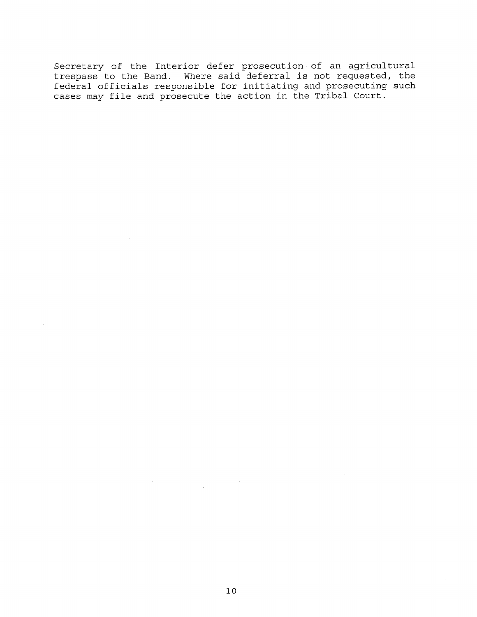Secretary of the Interior defer prosecution of an agricultural trespass to the Band. Where said deferral is not requested, the federal officials responsible for initiating and prosecuting such cases may file and prosecute the action in the Tribal Court.

 $\sim 10$ 

 $\bar{\lambda}$ 

 $\mathbb{I}$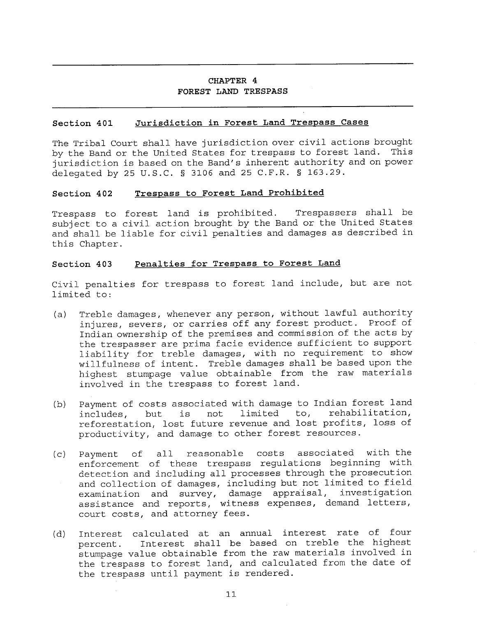## **CHAPTER 4 FOREST LAND TRESPASS**

#### **Section 401 Jurisdiction in Forest Land Trespass Cases**

The Tribal Court shall have jurisdiction over civil actions brought<br>by the Band or the United States for trespass to forest land. This by the Band or the United States for trespass to forest land. jurisdiction is based on the Band's inherent authority and on power delegated by 25 U.S.C. § 3106 and 25 C.F.R. § 163.29.

#### **Section 402 Trespass to Forest Land Prohibited**

Trespass to forest land is prohibited. Trespassers shall be subject to a civil action brought by the Band or the United States and shall be liable for civil penalties and damages as described in this Chapter.

#### **Section 403 Penalties for Trespass to Forest Land**

Civil penalties for trespass to forest land include, but are not limited to:

- (a) Treble damages, whenever any person, without lawful authority injures, severs, or carries off any forest product. Proof of Indian ownership of the premises and commission of the acts by the trespasser are prima facie evidence sufficient to support liability for treble damages, with no requirement to show willfulness of intent. Treble damages shall be based upon the highest stumpage value obtainable from the raw materials involved in the trespass to forest land.
- (b) Payment of costs associated with damage to Indian forest land includes, but is not limited to, rehabilitation, reforestation, lost future revenue and lost profits, loss of productivity, and damage to other forest resources.
- (c) Payment of all reasonable costs associated with the enforcement of these trespass regulations beginning with detection and including all processes through the prosecution and collection of damages, including but not limited to field examination and survey, damage appraisal, investigation assistance and reports, witness expenses, demand letters, court costs, and attorney fees.
- (d) Interest calculated at an annual interest rate of four percent. Interest shall be based on treble the highest stumpage value obtainable from the raw materials involved in the trespass to forest land, and calculated from the date of the trespass until payment is rendered.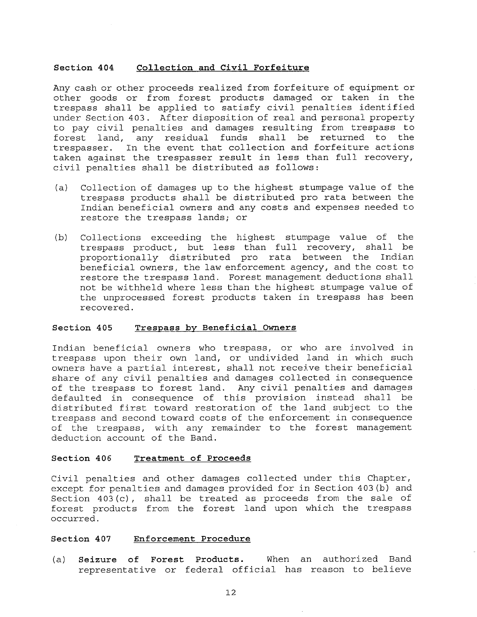#### **Section 404 Collection and Civil Forfeiture**

Any cash or other proceeds realized from forfeiture of equipment or other goods or from forest products damaged or taken in the trespass shall be applied to satisfy civil penalties identified under Section 403. After disposition of real and personal property to pay civil penalties and damages resulting from trespass to forest land, any residual funds shall be returned to the trespasser. In the event that collection and forfeiture actions taken against the trespasser result in less than full recovery, civil penalties shall be distributed as follows:

- (a) Collection of damages up to the highest stumpage value of the trespass products shall be distributed pro rata between the Indian beneficial owners and any costs and expenses needed to restore the trespass lands; or
- (b) Collections exceeding the highest stumpage value of the trespass product, but less than full recovery, shall be<br>proportionally distributed pro rata between the Indian proportionally distributed pro rata between the beneficial owners, the law enforcement agency, and the cost to restore the trespass land. Forest management deductions shall not be withheld where less than the highest stumpage value of the unprocessed forest products taken in trespass has been recovered.

#### **Section 405 Trespass by Beneficial Owners**

Indian beneficial owners who trespass, or who are involved in trespass upon their own land, or undivided land in which such owners have a partial interest, shall not receive their beneficial share of any civil penalties and damages collected in consequence of the trespass to forest land. Any civil penalties and damages defaulted in consequence of this provision instead shall be distributed first toward restoration of the land subject to the trespass and second toward costs of the enforcement in consequence of the trespass, with any remainder to the forest management deduction account of the Band.

#### **Section 406 Treatment of Proceeds**

Civil penalties and other damages collected under this Chapter, except for penalties and damages provided for in Section 403(b) and Section 403(c), shall be treated as proceeds from the sale of forest products from the forest land upon which the trespass occurred.

#### **Section 407 Enforcement Procedure**

(a) **Seizure of Forest Products.** When an authorized Band representative or federal official has reason to believe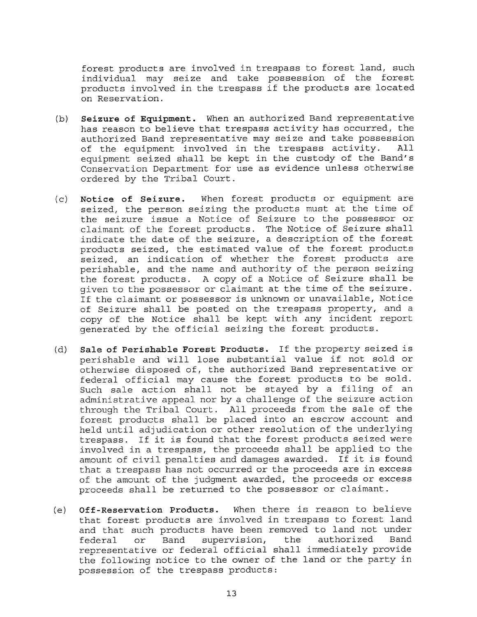forest products are involved in trespass to forest land, such individual may seize and take possession of the forest products involved in the trespass if the products are located on Reservation.

- **(b) Seizure of Equipment.** When an authorized Band representative has reason to believe that trespass activity has occurred, the authorized Band representative may seize and take possession of the equipment involved in the trespass activity. All equipment seized shall be kept in the custody of the Band's Conservation Department for use as evidence unless otherwise ordered by the Tribal Court.
- **(c) Notice of Seizure.** When forest products or equipment are seized, the person seizing the products must at the time of the seizure issue a Notice of Seizure to the possessor or claimant of the forest products. The Notice of Seizure shall indicate the date of the seizure, a description of the forest products seized, the estimated value of the forest products seized, an indication of whether the forest products are perishable, and the name and authority of the person seizing the forest products. A copy of a Notice of Seizure shall be given to the possessor or claimant at the time of the seizure. If the claimant or possessor is unknown or unavailable, Notice of Seizure shall be posted on the trespass property, and a copy of the Notice shall be kept with any incident report generated by the official seizing the forest products.
- (d) Sale **of Perishable Forest Products.** If the property seized is perishable and will lose substantial value if not sold or otherwise disposed of, the authorized Band representative or federal official may cause the forest products to be sold. Such sale action shall not be stayed by a filing of an administrative appeal nor by a challenge of the seizure action through the Tribal Court. All proceeds from the sale of the forest products shall be placed into an escrow account and held until adjudication or other resolution of the underlying trespass. If it is found that the forest products seized were involved in a trespass, the proceeds shall be applied to the amount of civil penalties and damages awarded. If it is found that a trespass has not occurred or the proceeds are in excess of the amount of the judgment awarded, the proceeds or excess proceeds shall be returned to the possessor or claimant.
- **(e) Off-Reservation Products.** When there is reason to believe that forest products are involved in trespass to forest land and that such products have been removed to land not under federal or Band supervision, the authorized Band representative or federal official shall immediately provide the following notice to the owner of the land or the party in possession of the trespass products: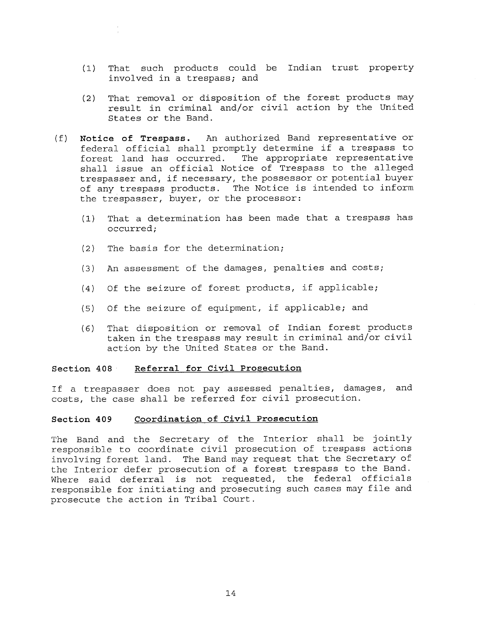- (1) That such products could be Indian trust property involved in a trespass; and
- (2) That removal **or** disposition of the forest products may result **in** criminal and/or civil action by the United States or the Band.
- (f) **Notice of Trespass.** An authorized Band representative or federal official shall promptly determine if a trespass to forest land has occurred. The appropriate representative shall issue an official Notice of Trespass to the alleged trespasser and, if necessary, the possessor or potential buyer of any trespass products. The Notice **is** intended to inform the trespasser, buyer, or the processor:
	- (1) That a determination has been made that a trespass has occurred;
	- (2) The basis for the determination;
	- (3) An assessment of the damages, penalties and costs;
	- (4) Of the seizure of forest products, if applicable;
	- (5) Of the seizure of equipment, if applicable; and
	- (6) That disposition or removal of Indian forest products taken in the trespass may result in criminal and/or civil action by the United States or the Band.

#### **Section 408 Referral for Civil Prosecution**

If a trespasser does not pay assessed penalties, damages, and costs, the case shall be referred for civil prosecution.

#### **Section 409 Coordination of Civil Prosecution**

The Band and the Secretary of the Interior shall be jointly responsible to coordinate civil prosecution of trespass actions involving forest land. The Band may request that the Secretary of the Interior defer prosecution of a forest trespass to the Band. Where said deferral is not requested, the federal officials responsible for initiating and prosecuting such cases may file and prosecute the action in Tribal Court.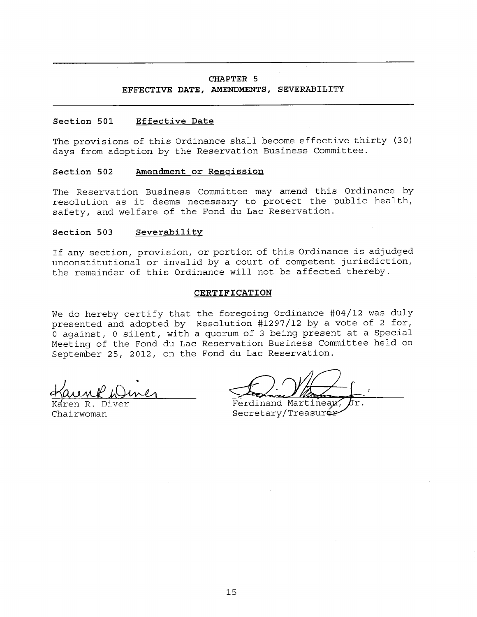#### **CHAPTER 5**

#### **EFFECTIVE DATE, AMENDMENTS, SEVERABILITY**

#### **Section 501 Effective Date**

The provisions of this Ordinance shall become effective thirty (30) days from adoption by the Reservation Business Committee.

#### **Section 502 Amendment or Rescission**

The Reservation Business Committee may amend this Ordinance by resolution as it deems necessary to protect the public health, safety, and welfare of the Fond du Lac Reservation.

#### **Section 503 Severabilitv**

If any section, provision, or portion of this Ordinance is adjudged unconstitutional or invalid by a court of competent jurisdiction, the remainder of this Ordinance will not be affected thereby.

#### **CERTIFICATION**

We do hereby certify that the foregoing Ordinance #04/12 was duly presented and adopted by Resolution #1297/12 by a vote of 2 for, 0 against, 0 silent, with a quorum of 3 being present at a Special Meeting of the Fond du Lac Reservation Business Committee held on September 25, 2012, on the Fond du Lac Reservation.

Chairwoman Secretary/Treasurer Ferdinand Martinear